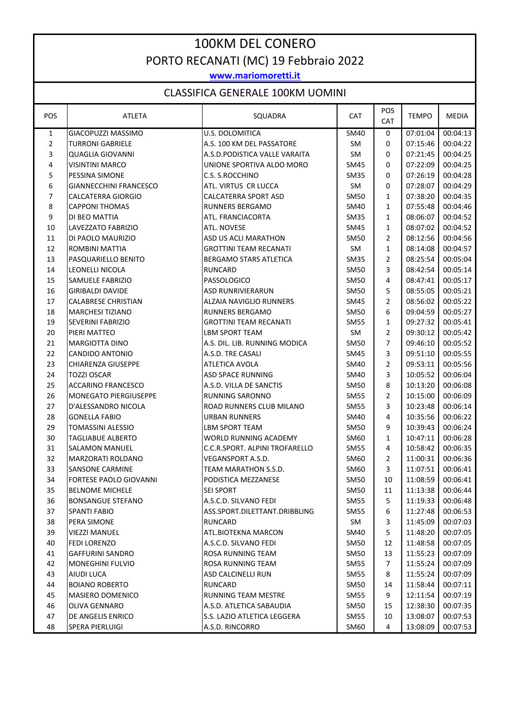## 100KM DEL CONERO PORTO RECANATI (MC) 19 Febbraio 2022

**www.mariomoretti.it**

## CLASSIFICA GENERALE 100KM UOMINI

| POS            | <b>ATLETA</b>                 | SQUADRA                        | <b>CAT</b>  | POS<br><b>CAT</b> | <b>TEMPO</b> | <b>MEDIA</b> |
|----------------|-------------------------------|--------------------------------|-------------|-------------------|--------------|--------------|
| $\mathbf{1}$   | GIACOPUZZI MASSIMO            | U.S. DOLOMITICA                | SM40        | 0                 | 07:01:04     | 00:04:13     |
| $\overline{2}$ | <b>TURRONI GABRIELE</b>       | A.S. 100 KM DEL PASSATORE      | SM          | 0                 | 07:15:46     | 00:04:22     |
| 3              | <b>QUAGLIA GIOVANNI</b>       | A.S.D. PODISTICA VALLE VARAITA | SM          | 0                 | 07:21:45     | 00:04:25     |
| 4              | <b>VISINTINI MARCO</b>        | UNIONE SPORTIVA ALDO MORO      | <b>SM45</b> | 0                 | 07:22:09     | 00:04:25     |
| 5              | PESSINA SIMONE                | C.S. S.ROCCHINO                | <b>SM35</b> | 0                 | 07:26:19     | 00:04:28     |
| 6              | <b>GIANNECCHINI FRANCESCO</b> | ATL. VIRTUS CR LUCCA           | SM          | 0                 | 07:28:07     | 00:04:29     |
| $\overline{7}$ | CALCATERRA GIORGIO            | CALCATERRA SPORT ASD           | <b>SM50</b> | $\mathbf{1}$      | 07:38:20     | 00:04:35     |
| 8              | <b>CAPPONI THOMAS</b>         | <b>RUNNERS BERGAMO</b>         | SM40        | $\mathbf{1}$      | 07:55:48     | 00:04:46     |
| 9              | DI BEO MATTIA                 | ATL. FRANCIACORTA              | <b>SM35</b> | $\mathbf{1}$      | 08:06:07     | 00:04:52     |
| 10             | LAVEZZATO FABRIZIO            | ATL. NOVESE                    | SM45        | $\mathbf{1}$      | 08:07:02     | 00:04:52     |
| 11             | DI PAOLO MAURIZIO             | ASD US ACLI MARATHON           | <b>SM50</b> | 2                 | 08:12:56     | 00:04:56     |
| 12             | ROMBINI MATTIA                | <b>GROTTINI TEAM RECANATI</b>  | SM          | $\mathbf{1}$      | 08:14:08     | 00:04:57     |
| 13             | PASQUARIELLO BENITO           | <b>BERGAMO STARS ATLETICA</b>  | <b>SM35</b> | 2                 | 08:25:54     | 00:05:04     |
| 14             | LEONELLI NICOLA               | <b>RUNCARD</b>                 | <b>SM50</b> | 3                 | 08:42:54     | 00:05:14     |
| 15             | <b>SAMUELE FABRIZIO</b>       | PASSOLOGICO                    | <b>SM50</b> | 4                 | 08:47:41     | 00:05:17     |
| 16             | <b>GIRIBALDI DAVIDE</b>       | <b>ASD RUNRIVIERARUN</b>       | <b>SM50</b> | 5                 | 08:55:05     | 00:05:21     |
| 17             | <b>CALABRESE CHRISTIAN</b>    | <b>ALZAIA NAVIGLIO RUNNERS</b> | SM45        | $\overline{2}$    | 08:56:02     | 00:05:22     |
| 18             | <b>MARCHESI TIZIANO</b>       | <b>RUNNERS BERGAMO</b>         | SM50        | 6                 | 09:04:59     | 00:05:27     |
| 19             | <b>SEVERINI FABRIZIO</b>      | <b>GROTTINI TEAM RECANATI</b>  | <b>SM55</b> | $\mathbf{1}$      | 09:27:32     | 00:05:41     |
| 20             | PIERI MATTEO                  | <b>LBM SPORT TEAM</b>          | SM          | 2                 | 09:30:12     | 00:05:42     |
| 21             | <b>MARGIOTTA DINO</b>         | A.S. DIL. LIB. RUNNING MODICA  | <b>SM50</b> | 7                 | 09:46:10     | 00:05:52     |
| 22             | <b>CANDIDO ANTONIO</b>        | A.S.D. TRE CASALI              | SM45        | 3                 | 09:51:10     | 00:05:55     |
| 23             | <b>CHIARENZA GIUSEPPE</b>     | ATLETICA AVOLA                 | SM40        | 2                 | 09:53:11     | 00:05:56     |
| 24             | <b>TOZZI OSCAR</b>            | <b>ASD SPACE RUNNING</b>       | SM40        | 3                 | 10:05:52     | 00:06:04     |
| 25             | <b>ACCARINO FRANCESCO</b>     | A.S.D. VILLA DE SANCTIS        | <b>SM50</b> | 8                 | 10:13:20     | 00:06:08     |
| 26             | <b>MONEGATO PIERGIUSEPPE</b>  | <b>RUNNING SARONNO</b>         | <b>SM55</b> | 2                 | 10:15:00     | 00:06:09     |
| 27             | D'ALESSANDRO NICOLA           | ROAD RUNNERS CLUB MILANO       | <b>SM55</b> | 3                 | 10:23:48     | 00:06:14     |
| 28             | <b>GONELLA FABIO</b>          | <b>URBAN RUNNERS</b>           | SM40        | 4                 | 10:35:56     | 00:06:22     |
| 29             | <b>TOMASSINI ALESSIO</b>      | <b>LBM SPORT TEAM</b>          | <b>SM50</b> | 9                 | 10:39:43     | 00:06:24     |
| 30             | <b>TAGLIABUE ALBERTO</b>      | WORLD RUNNING ACADEMY          | SM60        | $\mathbf{1}$      | 10:47:11     | 00:06:28     |
| 31             | <b>SALAMON MANUEL</b>         | C.C.R.SPORT. ALPINI TROFARELLO | SM55        | 4                 | 10:58:42     | 00:06:35     |
| 32             | MARZORATI ROLDANO             | VEGANSPORT A.S.D.              | SM60        | 2                 | 11:00:31     | 00:06:36     |
| 33             | <b>SANSONE CARMINE</b>        | TEAM MARATHON S.S.D.           | SM60        | 3                 | 11:07:51     | 00:06:41     |
| 34             | FORTESE PAOLO GIOVANNI        | PODISTICA MEZZANESE            | <b>SM50</b> | 10                | 11:08:59     | 00:06:41     |
| 35             | <b>BELNOME MICHELE</b>        | <b>SEI SPORT</b>               | <b>SM50</b> | 11                | 11:13:38     | 00:06:44     |
| 36             | <b>BONSANGUE STEFANO</b>      | A.S.C.D. SILVANO FEDI          | <b>SM55</b> | 5                 | 11:19:33     | 00:06:48     |
| 37             | <b>SPANTI FABIO</b>           | ASS.SPORT.DILETTANT.DRIBBLING  | <b>SM55</b> | 6                 | 11:27:48     | 00:06:53     |
| 38             | PERA SIMONE                   | <b>RUNCARD</b>                 | SM          | 3                 | 11:45:09     | 00:07:03     |
| 39             | <b>VIEZZI MANUEL</b>          | ATL.BIOTEKNA MARCON            | SM40        | 5                 | 11:48:20     | 00:07:05     |
| 40             | <b>FEDI LORENZO</b>           | A.S.C.D. SILVANO FEDI          | <b>SM50</b> | 12                | 11:48:58     | 00:07:05     |
| 41             | <b>GAFFURINI SANDRO</b>       | ROSA RUNNING TEAM              | SM50        | 13                | 11:55:23     | 00:07:09     |
| 42             | <b>MONEGHINI FULVIO</b>       | ROSA RUNNING TEAM              | <b>SM55</b> | 7                 | 11:55:24     | 00:07:09     |
| 43             | AIUDI LUCA                    | <b>ASD CALCINELLI RUN</b>      | <b>SM55</b> | 8                 | 11:55:24     | 00:07:09     |
| 44             | <b>BOIANO ROBERTO</b>         | <b>RUNCARD</b>                 | SM50        | 14                | 11:58:44     | 00:07:11     |
| 45             | MASIERO DOMENICO              | RUNNING TEAM MESTRE            | <b>SM55</b> | 9                 | 12:11:54     | 00:07:19     |
| 46             | <b>OLIVA GENNARO</b>          | A.S.D. ATLETICA SABAUDIA       | <b>SM50</b> | 15                | 12:38:30     | 00:07:35     |
| 47             | DE ANGELIS ENRICO             | S.S. LAZIO ATLETICA LEGGERA    | <b>SM55</b> | 10                | 13:08:07     | 00:07:53     |
| 48             | SPERA PIERLUIGI               | A.S.D. RINCORRO                | SM60        | 4                 | 13:08:09     | 00:07:53     |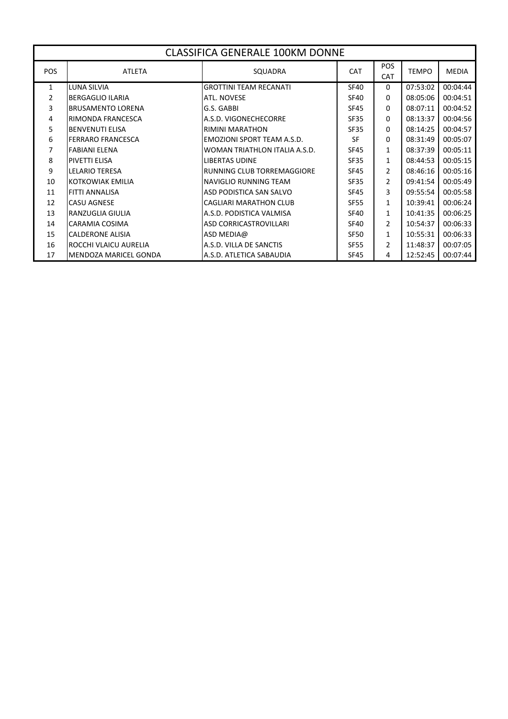| <b>CLASSIFICA GENERALE 100KM DONNE</b> |                              |                               |             |                          |              |              |
|----------------------------------------|------------------------------|-------------------------------|-------------|--------------------------|--------------|--------------|
| <b>POS</b>                             | <b>ATLETA</b>                | SQUADRA                       | <b>CAT</b>  | <b>POS</b><br><b>CAT</b> | <b>TEMPO</b> | <b>MEDIA</b> |
| $\mathbf{1}$                           | LUNA SILVIA                  | <b>GROTTINI TEAM RECANATI</b> | <b>SF40</b> | $\Omega$                 | 07:53:02     | 00:04:44     |
| $\mathcal{P}$                          | <b>BERGAGLIO ILARIA</b>      | <b>ATL. NOVESE</b>            | <b>SF40</b> | 0                        | 08:05:06     | 00:04:51     |
| 3                                      | <b>BRUSAMENTO LORENA</b>     | G.S. GABBI                    | <b>SF45</b> | 0                        | 08:07:11     | 00:04:52     |
| 4                                      | RIMONDA FRANCESCA            | A.S.D. VIGONECHECORRE         | <b>SF35</b> | 0                        | 08:13:37     | 00:04:56     |
| 5.                                     | <b>BENVENUTI ELISA</b>       | RIMINI MARATHON               | <b>SF35</b> | 0                        | 08:14:25     | 00:04:57     |
| 6                                      | <b>FERRARO FRANCESCA</b>     | EMOZIONI SPORT TEAM A.S.D.    | <b>SF</b>   | $\Omega$                 | 08:31:49     | 00:05:07     |
| 7                                      | <b>FABIANI ELENA</b>         | WOMAN TRIATHLON ITALIA A.S.D. | <b>SF45</b> | 1                        | 08:37:39     | 00:05:11     |
| 8                                      | PIVETTI ELISA                | <b>LIBERTAS UDINE</b>         | <b>SF35</b> | $\mathbf{1}$             | 08:44:53     | 00:05:15     |
| 9                                      | <b>LELARIO TERESA</b>        | RUNNING CLUB TORREMAGGIORE    | <b>SF45</b> | 2                        | 08:46:16     | 00:05:16     |
| 10                                     | <b>KOTKOWIAK EMILIA</b>      | NAVIGLIO RUNNING TEAM         | <b>SF35</b> | $\overline{2}$           | 09:41:54     | 00:05:49     |
| 11                                     | <b>FITTI ANNALISA</b>        | ASD PODISTICA SAN SALVO       | <b>SF45</b> | 3                        | 09:55:54     | 00:05:58     |
| 12                                     | <b>CASU AGNESE</b>           | <b>CAGLIARI MARATHON CLUB</b> | <b>SF55</b> | 1                        | 10:39:41     | 00:06:24     |
| 13                                     | RANZUGLIA GIULIA             | A.S.D. PODISTICA VALMISA      | <b>SF40</b> | $\mathbf{1}$             | 10:41:35     | 00:06:25     |
| 14                                     | <b>CARAMIA COSIMA</b>        | <b>ASD CORRICASTROVILLARI</b> | <b>SF40</b> | $\overline{2}$           | 10:54:37     | 00:06:33     |
| 15                                     | <b>CALDERONE ALISIA</b>      | ASD MEDIA@                    | <b>SF50</b> | $\mathbf{1}$             | 10:55:31     | 00:06:33     |
| 16                                     | ROCCHI VLAICU AURELIA        | A.S.D. VILLA DE SANCTIS       | <b>SF55</b> | $\overline{2}$           | 11:48:37     | 00:07:05     |
| 17                                     | <b>MENDOZA MARICEL GONDA</b> | A.S.D. ATLETICA SABAUDIA      | <b>SF45</b> | 4                        | 12:52:45     | 00:07:44     |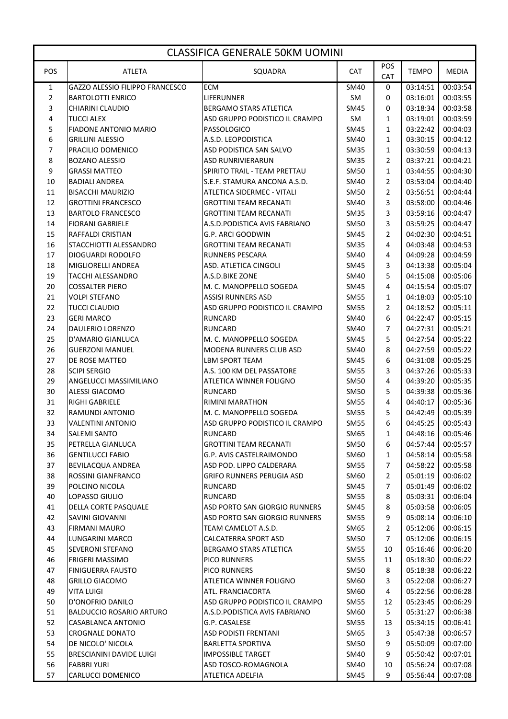| CLASSIFICA GENERALE 50KM UOMINI |                                 |                                   |             |                   |              |          |  |
|---------------------------------|---------------------------------|-----------------------------------|-------------|-------------------|--------------|----------|--|
| POS                             | <b>ATLETA</b>                   | SQUADRA                           | <b>CAT</b>  | POS<br><b>CAT</b> | <b>TEMPO</b> | MEDIA    |  |
| 1                               | GAZZO ALESSIO FILIPPO FRANCESCO | <b>ECM</b>                        | <b>SM40</b> | 0                 | 03:14:51     | 00:03:54 |  |
| $\overline{2}$                  | <b>BARTOLOTTI ENRICO</b>        | LIFERUNNER                        | <b>SM</b>   | 0                 | 03:16:01     | 00:03:55 |  |
| 3                               | CHIARINI CLAUDIO                | <b>BERGAMO STARS ATLETICA</b>     | SM45        | 0                 | 03:18:34     | 00:03:58 |  |
| 4                               | <b>TUCCI ALEX</b>               | ASD GRUPPO PODISTICO IL CRAMPO    | SM          | 1                 | 03:19:01     | 00:03:59 |  |
| 5                               | <b>FIADONE ANTONIO MARIO</b>    | PASSOLOGICO                       | SM45        | 1                 | 03:22:42     | 00:04:03 |  |
| 6                               | <b>GRILLINI ALESSIO</b>         | A.S.D. LEOPODISTICA               | SM40        | $\mathbf{1}$      | 03:30:15     | 00:04:12 |  |
| 7                               | PRACILIO DOMENICO               | ASD PODISTICA SAN SALVO           | SM35        | $\mathbf{1}$      | 03:30:59     | 00:04:13 |  |
| 8                               | <b>BOZANO ALESSIO</b>           | <b>ASD RUNRIVIERARUN</b>          | <b>SM35</b> | 2                 | 03:37:21     | 00:04:21 |  |
| 9                               | <b>GRASSI MATTEO</b>            | SPIRITO TRAIL - TEAM PRETTAU      | <b>SM50</b> | 1                 | 03:44:55     | 00:04:30 |  |
| 10                              | <b>BADIALI ANDREA</b>           | S.E.F. STAMURA ANCONA A.S.D.      | SM40        | 2                 | 03:53:04     | 00:04:40 |  |
| 11                              | <b>BISACCHI MAURIZIO</b>        | <b>ATLETICA SIDERMEC - VITALI</b> | SM50        | 2                 | 03:56:51     | 00:04:44 |  |
| 12                              | <b>GROTTINI FRANCESCO</b>       | GROTTINI TEAM RECANATI            | SM40        | 3                 | 03:58:00     | 00:04:46 |  |
| 13                              | <b>BARTOLO FRANCESCO</b>        | <b>GROTTINI TEAM RECANATI</b>     | <b>SM35</b> | 3                 | 03:59:16     | 00:04:47 |  |
| 14                              | <b>FIORANI GABRIELE</b>         | A.S.D. PODISTICA AVIS FABRIANO    | <b>SM50</b> | 3                 | 03:59:25     | 00:04:47 |  |
| 15                              | RAFFALDI CRISTIAN               | G.P. ARCI GOODWIN                 | SM45        | 2                 | 04:02:30     | 00:04:51 |  |
| 16                              | STACCHIOTTI ALESSANDRO          | <b>GROTTINI TEAM RECANATI</b>     | <b>SM35</b> | 4                 | 04:03:48     | 00:04:53 |  |
| 17                              | <b>DIOGUARDI RODOLFO</b>        | <b>RUNNERS PESCARA</b>            | SM40        | 4                 | 04:09:28     | 00:04:59 |  |
| 18                              | MIGLIORELLI ANDREA              | <b>ASD. ATLETICA CINGOLI</b>      | SM45        | 3                 | 04:13:38     | 00:05:04 |  |
| 19                              | <b>TACCHI ALESSANDRO</b>        | A.S.D.BIKE ZONE                   | SM40        | 5                 | 04:15:08     | 00:05:06 |  |
| 20                              | <b>COSSALTER PIERO</b>          | M. C. MANOPPELLO SOGEDA           | SM45        | 4                 | 04:15:54     | 00:05:07 |  |
| 21                              | <b>VOLPI STEFANO</b>            | <b>ASSISI RUNNERS ASD</b>         | <b>SM55</b> | 1                 | 04:18:03     | 00:05:10 |  |
| 22                              | <b>TUCCI CLAUDIO</b>            | ASD GRUPPO PODISTICO IL CRAMPO    | <b>SM55</b> | 2                 | 04:18:52     | 00:05:11 |  |
| 23                              | <b>GERI MARCO</b>               | <b>RUNCARD</b>                    | SM40        | 6                 | 04:22:47     | 00:05:15 |  |
| 24                              | <b>DAULERIO LORENZO</b>         | <b>RUNCARD</b>                    | SM40        | 7                 | 04:27:31     | 00:05:21 |  |
| 25                              | D'AMARIO GIANLUCA               | M. C. MANOPPELLO SOGEDA           | SM45        | 5                 | 04:27:54     | 00:05:22 |  |
| 26                              | <b>GUERZONI MANUEL</b>          | <b>MODENA RUNNERS CLUB ASD</b>    | SM40        | 8                 | 04:27:59     | 00:05:22 |  |
| 27                              | <b>DE ROSE MATTEO</b>           | <b>LBM SPORT TEAM</b>             | SM45        | 6                 | 04:31:08     | 00:05:25 |  |
| 28                              | <b>SCIPI SERGIO</b>             | A.S. 100 KM DEL PASSATORE         | <b>SM55</b> | 3                 | 04:37:26     | 00:05:33 |  |
| 29                              | ANGELUCCI MASSIMILIANO          | ATLETICA WINNER FOLIGNO           | <b>SM50</b> | 4                 | 04:39:20     | 00:05:35 |  |
| 30                              | <b>ALESSI GIACOMO</b>           | <b>RUNCARD</b>                    | <b>SM50</b> | 5                 | 04:39:38     | 00:05:36 |  |
| 31                              | RIGHI GABRIELE                  | <b>RIMINI MARATHON</b>            | <b>SM55</b> | 4                 | 04:40:17     | 00:05:36 |  |
| 32                              | <b>RAMUNDI ANTONIO</b>          | M. C. MANOPPELLO SOGEDA           | <b>SM55</b> | 5                 | 04:42:49     | 00:05:39 |  |
| 33                              | <b>VALENTINI ANTONIO</b>        | ASD GRUPPO PODISTICO IL CRAMPO    | <b>SM55</b> | 6                 | 04:45:25     | 00:05:43 |  |
| 34                              | <b>SALEMI SANTO</b>             | <b>RUNCARD</b>                    | SM65        | 1                 | 04:48:16     | 00:05:46 |  |
| 35                              | PETRELLA GIANLUCA               | <b>GROTTINI TEAM RECANATI</b>     | <b>SM50</b> | 6                 | 04:57:44     | 00:05:57 |  |
| 36                              | <b>GENTILUCCI FABIO</b>         | G.P. AVIS CASTELRAIMONDO          | SM60        | 1                 | 04:58:14     | 00:05:58 |  |
| 37                              | BEVILACQUA ANDREA               | ASD POD. LIPPO CALDERARA          | <b>SM55</b> | 7                 | 04:58:22     | 00:05:58 |  |
| 38                              | ROSSINI GIANFRANCO              | <b>GRIFO RUNNERS PERUGIA ASD</b>  | SM60        | 2                 | 05:01:19     | 00:06:02 |  |
| 39                              | POLCINO NICOLA                  | RUNCARD                           | <b>SM45</b> | 7                 | 05:01:49     | 00:06:02 |  |
| 40                              | LOPASSO GIULIO                  | RUNCARD                           | <b>SM55</b> | 8                 | 05:03:31     | 00:06:04 |  |
| 41                              | DELLA CORTE PASQUALE            | ASD PORTO SAN GIORGIO RUNNERS     | SM45        | 8                 | 05:03:58     | 00:06:05 |  |
| 42                              | <b>SAVINI GIOVANNI</b>          | ASD PORTO SAN GIORGIO RUNNERS     | <b>SM55</b> | 9                 | 05:08:14     | 00:06:10 |  |
| 43                              | <b>FIRMANI MAURO</b>            | TEAM CAMELOT A.S.D.               | SM65        | 2                 | 05:12:06     | 00:06:15 |  |
| 44                              | LUNGARINI MARCO                 | CALCATERRA SPORT ASD              | <b>SM50</b> | $\overline{7}$    | 05:12:06     | 00:06:15 |  |
| 45                              | <b>SEVERONI STEFANO</b>         | BERGAMO STARS ATLETICA            | SM55        | 10                | 05:16:46     | 00:06:20 |  |
| 46                              | <b>FRIGERI MASSIMO</b>          | <b>PICO RUNNERS</b>               | <b>SM55</b> | 11                | 05:18:30     | 00:06:22 |  |
| 47                              | <b>FINIGUERRA FAUSTO</b>        | <b>PICO RUNNERS</b>               | <b>SM50</b> | 8                 | 05:18:38     | 00:06:22 |  |
| 48                              | <b>GRILLO GIACOMO</b>           | ATLETICA WINNER FOLIGNO           | SM60        | 3                 | 05:22:08     | 00:06:27 |  |
| 49                              | <b>VITA LUIGI</b>               | ATL. FRANCIACORTA                 | SM60        | 4                 | 05:22:56     | 00:06:28 |  |
| 50                              | D'ONOFRIO DANILO                | ASD GRUPPO PODISTICO IL CRAMPO    | <b>SM55</b> | 12                | 05:23:45     | 00:06:29 |  |
| 51                              | <b>BALDUCCIO ROSARIO ARTURO</b> | A.S.D. PODISTICA AVIS FABRIANO    | SM60        | 5                 | 05:31:27     | 00:06:38 |  |
| 52                              | CASABLANCA ANTONIO              | G.P. CASALESE                     | <b>SM55</b> | 13                | 05:34:15     | 00:06:41 |  |
| 53                              | <b>CROGNALE DONATO</b>          | <b>ASD PODISTI FRENTANI</b>       | SM65        | 3                 | 05:47:38     | 00:06:57 |  |
| 54                              | DE NICOLO' NICOLA               | <b>BARLETTA SPORTIVA</b>          | SM50        | 9                 | 05:50:09     | 00:07:00 |  |
| 55                              | BRESCIANINI DAVIDE LUIGI        | <b>IMPOSSIBLE TARGET</b>          | SM40        | 9                 | 05:50:42     | 00:07:01 |  |
| 56                              | <b>FABBRI YURI</b>              | ASD TOSCO-ROMAGNOLA               | SM40        | 10                | 05:56:24     | 00:07:08 |  |
| 57                              | CARLUCCI DOMENICO               | ATLETICA ADELFIA                  | SM45        | 9                 | 05:56:44     | 00:07:08 |  |